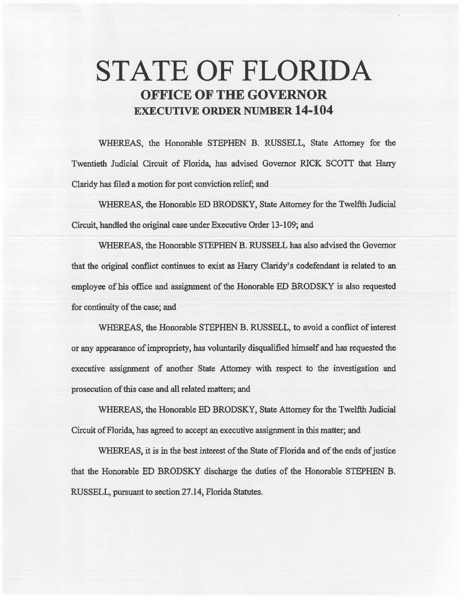# **STATE OF FLORIDA OFFICE OF THE GOVERNOR EXECUTIVE ORDER NUMBER 14·104**

WHEREAS, the Honorable STEPHEN B. RUSSELL, State Attorney for the Twentieth Judicial Circuit of Florida, has advised Governor RICK SCOTT that Harry Claridy has filed a motion for post conviction relief; and

WHEREAS, the Honorable ED BRODSKY, State Attorney for the Twelfth Judicial Circuit, handled the original case under Executive Order 13-109; and

WHEREAS, the Honorable STEPHEN **B.** RUSSELL has also advised the Governor that the original conflict continues to exist as Harry Claridy's codefendant is related to an employee of his office and assignment of the Honorable ED BRODSKY is also requested for continuity of the case; and

WHEREAS, the Honorable STEPHEN B. RUSSELL, to avoid a conflict of interest or any appearance of impropriety, has voluntarily disqualified himself and has requested the executive assignment of another State Attorney with respect to the investigation and prosecution of this case and all related matters; and

WHEREAS, the Honorable ED BRODSKY, State Attorney for the Twelfth Judicial Circuit of Florida, has agreed to accept an executive assignment in this matter; and

WHEREAS, it is in the best interest of the State of Florida and of the ends of justice that the Honorable ED BRODSKY discharge the duties of the Honorable STEPHEN B. RUSSELL, pursuant to section 27 .14, Florida Statutes.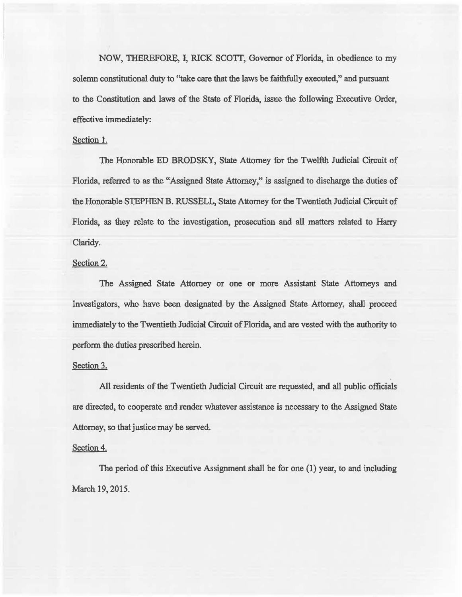NOW, THEREFORE, I, RICK SCOTI, Governor of Florida, in obedience to my solemn constitutional duty to "take care that the laws be faithfully executed," and pursuant to the Constitution and laws of the State of Florida, issue the following Executive Order, effective immediately:

## Section 1.

The Honorable ED BRODSKY, State Attomey for the Twelfth Judicial Circuit of Florida, referred to as the "Assigned State Attorney," is assigned to discharge the duties of the Honorable SIBPHEN B. RUSSELL, State Attorney for the Twentieth Judicial Circuit of Florida, as they relate to the investigation, prosecution and all matters related to Harry Claridy.

## Section 2.

The Assigned State Attorney or one or more Assistant State Attorneys and Investigators, who have been designated by the Assigned State Attomey, shall proceed immediately to the Twentieth Judicial Circuit of Florida, and are vested with the authority to perform the duties prescribed herein.

#### Section 3.

All residents of the Twentieth Judicial Circuit are requested, and all public officials are directed, to cooperate and render whatever assistance is necessary to the Assigned State Attorney, so that justice may be served.

### Section 4.

The period of this Executive Assignment shall be for one (1) year, to and including March 19, 2015.